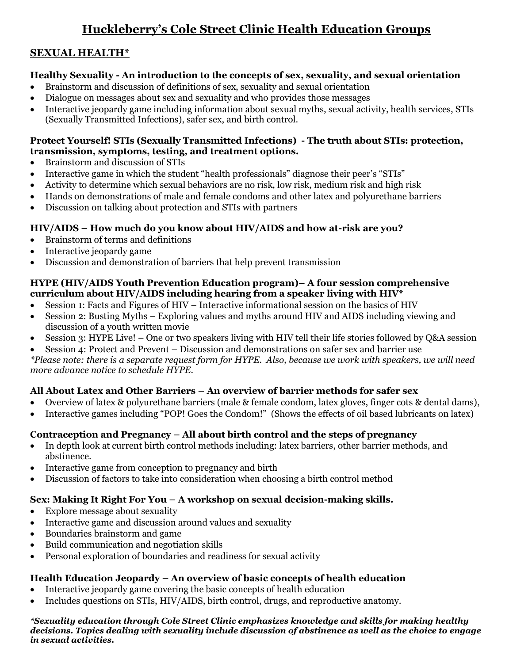## **Huckleberry's Cole Street Clinic Health Education Groups**

## **SEXUAL HEALTH\***

### **Healthy Sexuality - An introduction to the concepts of sex, sexuality, and sexual orientation**

- Brainstorm and discussion of definitions of sex, sexuality and sexual orientation
- Dialogue on messages about sex and sexuality and who provides those messages
- Interactive jeopardy game including information about sexual myths, sexual activity, health services, STIs (Sexually Transmitted Infections), safer sex, and birth control.

### **Protect Yourself! STIs (Sexually Transmitted Infections) - The truth about STIs: protection, transmission, symptoms, testing, and treatment options.**

- Brainstorm and discussion of STIs
- Interactive game in which the student "health professionals" diagnose their peer's "STIs"
- Activity to determine which sexual behaviors are no risk, low risk, medium risk and high risk
- Hands on demonstrations of male and female condoms and other latex and polyurethane barriers
- Discussion on talking about protection and STIs with partners

### **HIV/AIDS – How much do you know about HIV/AIDS and how at-risk are you?**

- Brainstorm of terms and definitions
- Interactive jeopardy game
- Discussion and demonstration of barriers that help prevent transmission

#### **HYPE (HIV/AIDS Youth Prevention Education program)– A four session comprehensive curriculum about HIV/AIDS including hearing from a speaker living with HIV\***

- Session 1: Facts and Figures of HIV Interactive informational session on the basics of HIV
- Session 2: Busting Myths Exploring values and myths around HIV and AIDS including viewing and discussion of a youth written movie
- Session 3: HYPE Live! One or two speakers living with HIV tell their life stories followed by Q&A session
- Session 4: Protect and Prevent Discussion and demonstrations on safer sex and barrier use

*\*Please note: there is a separate request form for HYPE. Also, because we work with speakers, we will need more advance notice to schedule HYPE.*

## **All About Latex and Other Barriers – An overview of barrier methods for safer sex**

- Overview of latex & polyurethane barriers (male & female condom, latex gloves, finger cots & dental dams),
- Interactive games including "POP! Goes the Condom!" (Shows the effects of oil based lubricants on latex)

## **Contraception and Pregnancy – All about birth control and the steps of pregnancy**

- In depth look at current birth control methods including: latex barriers, other barrier methods, and abstinence.
- Interactive game from conception to pregnancy and birth
- Discussion of factors to take into consideration when choosing a birth control method

## **Sex: Making It Right For You – A workshop on sexual decision-making skills.**

- Explore message about sexuality
- Interactive game and discussion around values and sexuality
- Boundaries brainstorm and game
- Build communication and negotiation skills
- Personal exploration of boundaries and readiness for sexual activity

## **Health Education Jeopardy – An overview of basic concepts of health education**

- Interactive jeopardy game covering the basic concepts of health education
- Includes questions on STIs, HIV/AIDS, birth control, drugs, and reproductive anatomy.

#### *\*Sexuality education through Cole Street Clinic emphasizes knowledge and skills for making healthy decisions. Topics dealing with sexuality include discussion of abstinence as well as the choice to engage in sexual activities.*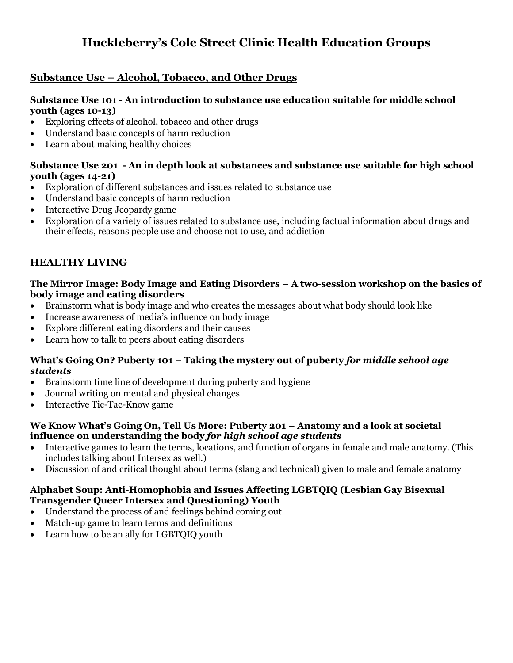## **Huckleberry's Cole Street Clinic Health Education Groups**

## **Substance Use – Alcohol, Tobacco, and Other Drugs**

#### **Substance Use 101 - An introduction to substance use education suitable for middle school youth (ages 10-13)**

- Exploring effects of alcohol, tobacco and other drugs
- Understand basic concepts of harm reduction
- Learn about making healthy choices

#### **Substance Use 201 - An in depth look at substances and substance use suitable for high school youth (ages 14-21)**

- Exploration of different substances and issues related to substance use
- Understand basic concepts of harm reduction
- Interactive Drug Jeopardy game
- Exploration of a variety of issues related to substance use, including factual information about drugs and their effects, reasons people use and choose not to use, and addiction

## **HEALTHY LIVING**

#### **The Mirror Image: Body Image and Eating Disorders – A two-session workshop on the basics of body image and eating disorders**

- Brainstorm what is body image and who creates the messages about what body should look like
- Increase awareness of media's influence on body image
- Explore different eating disorders and their causes
- Learn how to talk to peers about eating disorders

#### **What's Going On? Puberty 101 – Taking the mystery out of puberty** *for middle school age students*

- Brainstorm time line of development during puberty and hygiene
- Journal writing on mental and physical changes
- Interactive Tic-Tac-Know game

#### **We Know What's Going On, Tell Us More: Puberty 201 – Anatomy and a look at societal influence on understanding the body** *for high school age students*

- Interactive games to learn the terms, locations, and function of organs in female and male anatomy. (This includes talking about Intersex as well.)
- Discussion of and critical thought about terms (slang and technical) given to male and female anatomy

#### **Alphabet Soup: Anti-Homophobia and Issues Affecting LGBTQIQ (Lesbian Gay Bisexual Transgender Queer Intersex and Questioning) Youth**

- Understand the process of and feelings behind coming out
- Match-up game to learn terms and definitions
- Learn how to be an ally for LGBTQIQ youth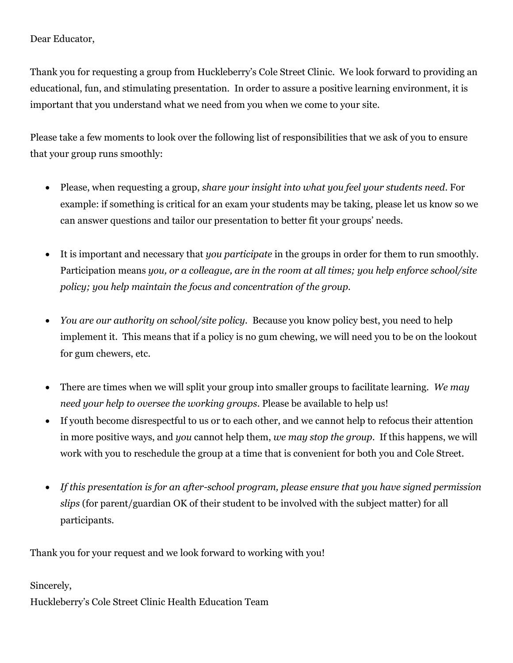### Dear Educator,

Thank you for requesting a group from Huckleberry's Cole Street Clinic. We look forward to providing an educational, fun, and stimulating presentation. In order to assure a positive learning environment, it is important that you understand what we need from you when we come to your site.

Please take a few moments to look over the following list of responsibilities that we ask of you to ensure that your group runs smoothly:

- Please, when requesting a group, *share your insight into what you feel your students need*. For example: if something is critical for an exam your students may be taking, please let us know so we can answer questions and tailor our presentation to better fit your groups' needs.
- It is important and necessary that *you participate* in the groups in order for them to run smoothly. Participation means *you, or a colleague, are in the room at all times; you help enforce school/site policy; you help maintain the focus and concentration of the group.*
- *You are our authority on school/site policy.* Because you know policy best, you need to help implement it. This means that if a policy is no gum chewing, we will need you to be on the lookout for gum chewers, etc.
- There are times when we will split your group into smaller groups to facilitate learning. *We may need your help to oversee the working groups*. Please be available to help us!
- If youth become disrespectful to us or to each other, and we cannot help to refocus their attention in more positive ways, and *you* cannot help them, *we may stop the group*. If this happens, we will work with you to reschedule the group at a time that is convenient for both you and Cole Street.
- *If this presentation is for an after-school program, please ensure that you have signed permission slips* (for parent/guardian OK of their student to be involved with the subject matter) for all participants.

Thank you for your request and we look forward to working with you!

Sincerely,

Huckleberry's Cole Street Clinic Health Education Team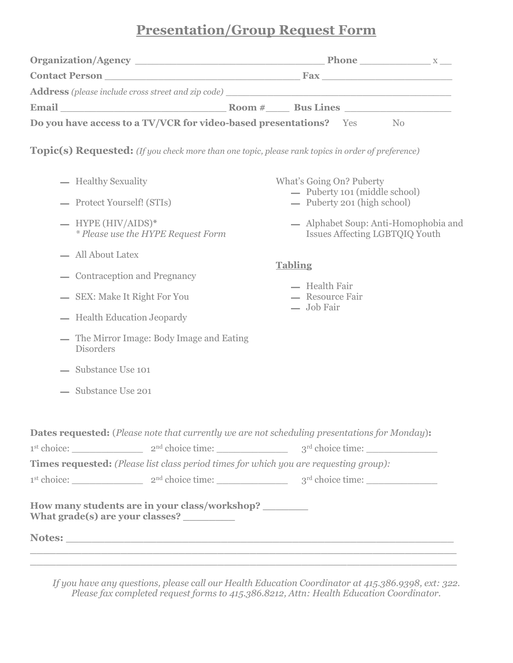# **Presentation/Group Request Form**

|                                                                                                     | <b>Do you have access to a TV/VCR for video-based presentations?</b> Yes<br>N <sub>o</sub><br><b>Topic(s) Requested:</b> (If you check more than one topic, please rank topics in order of preference)<br>What's Going On? Puberty<br>- Puberty 101 (middle school)<br>- Puberty 201 (high school)<br>— Alphabet Soup: Anti-Homophobia and<br><b>Issues Affecting LGBTQIQ Youth</b><br><b>Tabling</b><br>- Health Fair<br>- Resource Fair<br>$-$ Job Fair<br>Dates requested: (Please note that currently we are not scheduling presentations for Monday):<br>$1st choice:$ $2nd choice time:$ $3rd choice time:$<br>Times requested: (Please list class period times for which you are requesting group): |  |  |  |
|-----------------------------------------------------------------------------------------------------|------------------------------------------------------------------------------------------------------------------------------------------------------------------------------------------------------------------------------------------------------------------------------------------------------------------------------------------------------------------------------------------------------------------------------------------------------------------------------------------------------------------------------------------------------------------------------------------------------------------------------------------------------------------------------------------------------------|--|--|--|
|                                                                                                     |                                                                                                                                                                                                                                                                                                                                                                                                                                                                                                                                                                                                                                                                                                            |  |  |  |
|                                                                                                     |                                                                                                                                                                                                                                                                                                                                                                                                                                                                                                                                                                                                                                                                                                            |  |  |  |
|                                                                                                     |                                                                                                                                                                                                                                                                                                                                                                                                                                                                                                                                                                                                                                                                                                            |  |  |  |
| - Healthy Sexuality                                                                                 |                                                                                                                                                                                                                                                                                                                                                                                                                                                                                                                                                                                                                                                                                                            |  |  |  |
| - Protect Yourself! (STIs)                                                                          |                                                                                                                                                                                                                                                                                                                                                                                                                                                                                                                                                                                                                                                                                                            |  |  |  |
| $-$ HYPE (HIV/AIDS)*<br><i>* Please use the HYPE Request Form</i>                                   |                                                                                                                                                                                                                                                                                                                                                                                                                                                                                                                                                                                                                                                                                                            |  |  |  |
| - All About Latex                                                                                   |                                                                                                                                                                                                                                                                                                                                                                                                                                                                                                                                                                                                                                                                                                            |  |  |  |
| — Contraception and Pregnancy                                                                       |                                                                                                                                                                                                                                                                                                                                                                                                                                                                                                                                                                                                                                                                                                            |  |  |  |
| - SEX: Make It Right For You                                                                        |                                                                                                                                                                                                                                                                                                                                                                                                                                                                                                                                                                                                                                                                                                            |  |  |  |
| - Health Education Jeopardy                                                                         |                                                                                                                                                                                                                                                                                                                                                                                                                                                                                                                                                                                                                                                                                                            |  |  |  |
| — The Mirror Image: Body Image and Eating<br><b>Disorders</b>                                       |                                                                                                                                                                                                                                                                                                                                                                                                                                                                                                                                                                                                                                                                                                            |  |  |  |
| - Substance Use 101                                                                                 |                                                                                                                                                                                                                                                                                                                                                                                                                                                                                                                                                                                                                                                                                                            |  |  |  |
| - Substance Use 201                                                                                 |                                                                                                                                                                                                                                                                                                                                                                                                                                                                                                                                                                                                                                                                                                            |  |  |  |
|                                                                                                     |                                                                                                                                                                                                                                                                                                                                                                                                                                                                                                                                                                                                                                                                                                            |  |  |  |
|                                                                                                     |                                                                                                                                                                                                                                                                                                                                                                                                                                                                                                                                                                                                                                                                                                            |  |  |  |
|                                                                                                     | $1st choice:$ $2nd choice time:$ $3rd choice time:$                                                                                                                                                                                                                                                                                                                                                                                                                                                                                                                                                                                                                                                        |  |  |  |
| How many students are in your class/workshop? ________<br>What grade(s) are your classes? _________ |                                                                                                                                                                                                                                                                                                                                                                                                                                                                                                                                                                                                                                                                                                            |  |  |  |
|                                                                                                     |                                                                                                                                                                                                                                                                                                                                                                                                                                                                                                                                                                                                                                                                                                            |  |  |  |
|                                                                                                     |                                                                                                                                                                                                                                                                                                                                                                                                                                                                                                                                                                                                                                                                                                            |  |  |  |

*If you have any questions, please call our Health Education Coordinator at 415.386.9398, ext: 322. Please fax completed request forms to 415.386.8212, Attn: Health Education Coordinator.*